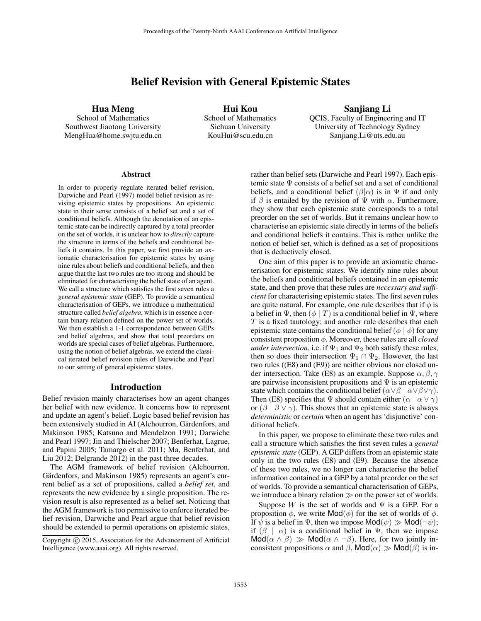# Belief Revision with General Epistemic States

Hua Meng

School of Mathematics Southwest Jiaotong University MengHua@home.swjtu.edu.cn

Hui Kou School of Mathematics Sichuan University KouHui@scu.edu.cn

Sanjiang Li QCIS, Faculty of Engineering and IT University of Technology Sydney Sanjiang.Li@uts.edu.au

#### Abstract

In order to properly regulate iterated belief revision, Darwiche and Pearl (1997) model belief revision as revising epistemic states by propositions. An epistemic state in their sense consists of a belief set and a set of conditional beliefs. Although the denotation of an epistemic state can be indirectly captured by a total preorder on the set of worlds, it is unclear how to *directly* capture the structure in terms of the beliefs and conditional beliefs it contains. In this paper, we first provide an axiomatic characterisation for epistemic states by using nine rules about beliefs and conditional beliefs, and then argue that the last two rules are too strong and should be eliminated for characterising the belief state of an agent. We call a structure which satisfies the first seven rules a *general epistemic state* (GEP). To provide a semantical characterisation of GEPs, we introduce a mathematical structure called *belief algebra*, which is in essence a certain binary relation defined on the power set of worlds. We then establish a 1-1 correspondence between GEPs and belief algebras, and show that total preorders on worlds are special cases of belief algebras. Furthermore, using the notion of belief algebras, we extend the classical iterated belief revision rules of Darwiche and Pearl to our setting of general epistemic states.

### Introduction

Belief revision mainly characterises how an agent changes her belief with new evidence. It concerns how to represent and update an agent's belief. Logic based belief revision has been extensively studied in AI (Alchourron, Gärdenfors, and Makinson 1985; Katsuno and Mendelzon 1991; Darwiche and Pearl 1997; Jin and Thielscher 2007; Benferhat, Lagrue, and Papini 2005; Tamargo et al. 2011; Ma, Benferhat, and Liu 2012; Delgrande 2012) in the past three decades.

The AGM framework of belief revision (Alchourron, Gärdenfors, and Makinson 1985) represents an agent's current belief as a set of propositions, called a *belief set*, and represents the new evidence by a single proposition. The revision result is also represented as a belief set. Noticing that the AGM framework is too permissive to enforce iterated belief revision, Darwiche and Pearl argue that belief revision should be extended to permit operations on epistemic states, rather than belief sets (Darwiche and Pearl 1997). Each epistemic state Ψ consists of a belief set and a set of conditional beliefs, and a conditional belief  $(\beta|\alpha)$  is in  $\Psi$  if and only if  $\beta$  is entailed by the revision of  $\Psi$  with  $\alpha$ . Furthermore, they show that each epistemic state corresponds to a total preorder on the set of worlds. But it remains unclear how to characterise an epistemic state directly in terms of the beliefs and conditional beliefs it contains. This is rather unlike the notion of belief set, which is defined as a set of propositions that is deductively closed.

One aim of this paper is to provide an axiomatic characterisation for epistemic states. We identify nine rules about the beliefs and conditional beliefs contained in an epistemic state, and then prove that these rules are *necessary and sufficient* for characterising epistemic states. The first seven rules are quite natural. For example, one rule describes that if  $\phi$  is a belief in  $\Psi$ , then  $(\phi | T)$  is a conditional belief in  $\Psi$ , where  $T$  is a fixed tautology; and another rule describes that each epistemic state contains the conditional belief  $(\phi | \phi)$  for any consistent proposition φ. Moreover, these rules are all *closed under intersection*, i.e. if  $\Psi_1$  and  $\Psi_2$  both satisfy these rules, then so does their intersection  $\Psi_1 \cap \Psi_2$ . However, the last two rules ((E8) and (E9)) are neither obvious nor closed under intersection. Take (E8) as an example. Suppose  $\alpha$ ,  $\beta$ ,  $\gamma$ are pairwise inconsistent propositions and  $\Psi$  is an epistemic state which contains the conditional belief  $(\alpha \vee \beta \mid \alpha \vee \beta \vee \gamma)$ . Then (E8) specifies that  $\Psi$  should contain either  $(\alpha \mid \alpha \lor \gamma)$ or  $(\beta | \beta \vee \gamma)$ . This shows that an epistemic state is always *deterministic* or *certain* when an agent has 'disjunctive' conditional beliefs.

In this paper, we propose to eliminate these two rules and call a structure which satisfies the first seven rules a *general epistemic state* (GEP). A GEP differs from an epistemic state only in the two rules (E8) and (E9). Because the absence of these two rules, we no longer can characterise the belief information contained in a GEP by a total preorder on the set of worlds. To provide a semantical characterisation of GEPs, we introduce a binary relation  $\gg$  on the power set of worlds.

Suppose W is the set of worlds and  $\Psi$  is a GEP. For a proposition  $\phi$ , we write  $\textsf{Mod}(\phi)$  for the set of worlds of  $\phi$ . If  $\psi$  is a belief in  $\Psi$ , then we impose  $\text{Mod}(\psi) \gg \text{Mod}(\neg \psi)$ ; if  $(\beta \mid \alpha)$  is a conditional belief in  $\Psi$ , then we impose  $\text{Mod}(\alpha \wedge \beta) \gg \text{Mod}(\alpha \wedge \neg \beta)$ . Here, for two jointly inconsistent propositions  $\alpha$  and  $\beta$ , Mod( $\alpha$ )  $\gg$  Mod( $\beta$ ) is in-

Copyright © 2015, Association for the Advancement of Artificial Intelligence (www.aaai.org). All rights reserved.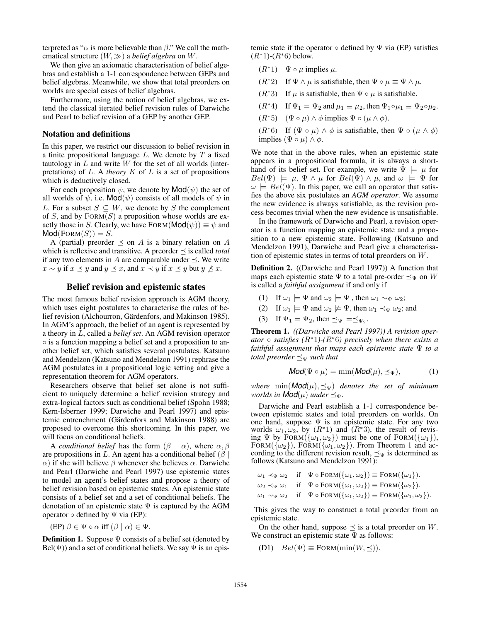terpreted as " $\alpha$  is more believable than  $\beta$ ." We call the mathematical structure  $(W, \gg)$  a *belief algebra* on W.

We then give an axiomatic characterisation of belief algebras and establish a 1-1 correspondence between GEPs and belief algebras. Meanwhile, we show that total preorders on worlds are special cases of belief algebras.

Furthermore, using the notion of belief algebras, we extend the classical iterated belief revision rules of Darwiche and Pearl to belief revision of a GEP by another GEP.

#### Notation and definitions

In this paper, we restrict our discussion to belief revision in a finite propositional language  $L$ . We denote by  $T$  a fixed tautology in  $L$  and write  $W$  for the set of all worlds (interpretations) of  $L$ . A *theory*  $K$  of  $L$  is a set of propositions which is deductively closed.

For each proposition  $\psi$ , we denote by  $\mathsf{Mod}(\psi)$  the set of all worlds of  $\psi$ , i.e. Mod( $\psi$ ) consists of all models of  $\psi$  in L. For a subset  $S \subseteq W$ , we denote by  $\overline{S}$  the complement of  $S$ , and by  $FORM(S)$  a proposition whose worlds are exactly those in S. Clearly, we have  $FORM(Mod(\psi)) \equiv \psi$  and  $Mod(FORM(S)) = S.$ 

A (partial) preorder  $\preceq$  on A is a binary relation on A which is reflexive and transitive. A preorder  $\preceq$  is called *total* if any two elements in A are comparable under  $\prec$ . We write  $x \sim y$  if  $x \preceq y$  and  $y \preceq x$ , and  $x \prec y$  if  $x \preceq y$  but  $y \not\preceq x$ .

## Belief revision and epistemic states

The most famous belief revision approach is AGM theory, which uses eight postulates to characterise the rules of belief revision (Alchourron, Gärdenfors, and Makinson 1985). In AGM's approach, the belief of an agent is represented by a theory in L, called a *belief set*. An AGM revision operator ◦ is a function mapping a belief set and a proposition to another belief set, which satisfies several postulates. Katsuno and Mendelzon (Katsuno and Mendelzon 1991) rephrase the AGM postulates in a propositional logic setting and give a representation theorem for AGM operators.

Researchers observe that belief set alone is not sufficient to uniquely determine a belief revision strategy and extra-logical factors such as conditional belief (Spohn 1988; Kern-Isberner 1999; Darwiche and Pearl 1997) and epistemic entrenchment (Gärdenfors and Makinson 1988) are proposed to overcome this shortcoming. In this paper, we will focus on conditional beliefs.

A *conditional belief* has the form  $(\beta | \alpha)$ , where  $\alpha, \beta$ are propositions in L. An agent has a conditional belief  $(\beta \mid$ α) if she will believe β whenever she believes α. Darwiche and Pearl (Darwiche and Pearl 1997) use epistemic states to model an agent's belief states and propose a theory of belief revision based on epistemic states. An epistemic state consists of a belief set and a set of conditional beliefs. The denotation of an epistemic state  $\Psi$  is captured by the AGM operator  $\circ$  defined by  $\Psi$  via (EP):

(EP)  $\beta \in \Psi \circ \alpha$  iff  $(\beta \mid \alpha) \in \Psi$ .

**Definition 1.** Suppose  $\Psi$  consists of a belief set (denoted by  $Bel(\Psi)$ ) and a set of conditional beliefs. We say  $\Psi$  is an epis-

temic state if the operator  $\circ$  defined by  $\Psi$  via (EP) satisfies  $(R<sup>*</sup>1)-(R<sup>*</sup>6)$  below.

- ( $R^*1$ )  $\Psi \circ \mu$  implies  $\mu$ .
- $(R^*2)$  If  $\Psi \wedge \mu$  is satisfiable, then  $\Psi \circ \mu \equiv \Psi \wedge \mu$ .
- ( $R^*3$ ) If  $\mu$  is satisfiable, then  $\Psi \circ \mu$  is satisfiable.
- $(R^*4)$  If  $\Psi_1 = \Psi_2$  and  $\mu_1 \equiv \mu_2$ , then  $\Psi_1 \circ \mu_1 \equiv \Psi_2 \circ \mu_2$ .

( $R^*5$ ) ( $\Psi \circ \mu$ )  $\wedge \phi$  implies  $\Psi \circ (\mu \wedge \phi)$ .

( $R^*6$ ) If  $(\Psi \circ \mu) \wedge \phi$  is satisfiable, then  $\Psi \circ (\mu \wedge \phi)$ implies  $(\Psi \circ \mu) \wedge \phi$ .

We note that in the above rules, when an epistemic state appears in a propositional formula, it is always a shorthand of its belief set. For example, we write  $\Psi \models \mu$  for  $Bel(\Psi) \models \mu, \Psi \wedge \mu$  for  $Bel(\Psi) \wedge \mu$ , and  $\omega \models \Psi$  for  $\omega \models Bel(\Psi)$ . In this paper, we call an operator that satisfies the above six postulates an *AGM operator*. We assume the new evidence is always satisfiable, as the revision process becomes trivial when the new evidence is unsatisfiable.

In the framework of Darwiche and Pearl, a revision operator is a function mapping an epistemic state and a proposition to a new epistemic state. Following (Katsuno and Mendelzon 1991), Darwiche and Pearl give a characterisation of epistemic states in terms of total preorders on W.

Definition 2. ((Darwiche and Pearl 1997)) A function that maps each epistemic state  $\Psi$  to a total pre-order  $\preceq_{\Psi}$  on W is called a *faithful assignment* if and only if

- (1) If  $\omega_1 \models \Psi$  and  $\omega_2 \models \Psi$ , then  $\omega_1 \sim_{\Psi} \omega_2$ ;
- (2) If  $\omega_1 \models \Psi$  and  $\omega_2 \not\models \Psi$ , then  $\omega_1 \prec_{\Psi} \omega_2$ ; and
- (3) If  $\Psi_1 = \Psi_2$ , then  $\preceq_{\Psi_1} = \preceq_{\Psi_2}$ .

Theorem 1. *((Darwiche and Pearl 1997)) A revision operator*  $\circ$  *satisfies* ( $R^*1$ )-( $R^*6$ ) precisely when there exists a *faithful assignment that maps each epistemic state* Ψ *to a total preorder*  $\preceq_{\Psi}$  *such that* 

$$
Mod(\Psi \circ \mu) = \min(Mod(\mu), \preceq_{\Psi}), \tag{1}
$$

*where*  $min(Mod(\mu), \leq_{\Psi})$  *denotes the set of minimum worlds in Mod*( $\mu$ ) *under*  $\preceq_{\Psi}$ *.* 

Darwiche and Pearl establish a 1-1 correspondence between epistemic states and total preorders on worlds. On one hand, suppose  $\Psi$  is an epistemic state. For any two worlds  $\omega_1, \omega_2$ , by  $(R^*1)$  and  $(R^*3)$ , the result of revising Ψ by FORM( $\{\omega_1, \omega_2\}$ ) must be one of FORM( $\{\omega_1\}$ ), FORM( $\{\omega_2\}$ ), FORM( $\{\omega_1,\omega_2\}$ ). From Theorem 1 and according to the different revision result,  $\preceq_{\Psi}$  is determined as follows (Katsuno and Mendelzon 1991):

$$
\omega_1 \prec_{\Psi} \omega_2 \quad \text{if} \quad \Psi \circ \text{FORM}(\{\omega_1, \omega_2\}) \equiv \text{FORM}(\{\omega_1\}).
$$
\n
$$
\omega_2 \prec_{\Psi} \omega_1 \quad \text{if} \quad \Psi \circ \text{FORM}(\{\omega_1, \omega_2\}) \equiv \text{FORM}(\{\omega_2\}).
$$
\n
$$
\omega_1 \sim_{\Psi} \omega_2 \quad \text{if} \quad \Psi \circ \text{FORM}(\{\omega_1, \omega_2\}) \equiv \text{FORM}(\{\omega_1, \omega_2\}).
$$

This gives the way to construct a total preorder from an epistemic state.

On the other hand, suppose  $\preceq$  is a total preorder on W. We construct an epistemic state  $\Psi$  as follows:

(D1)  $Bel(\Psi) \equiv FORM(min(W, \preceq)).$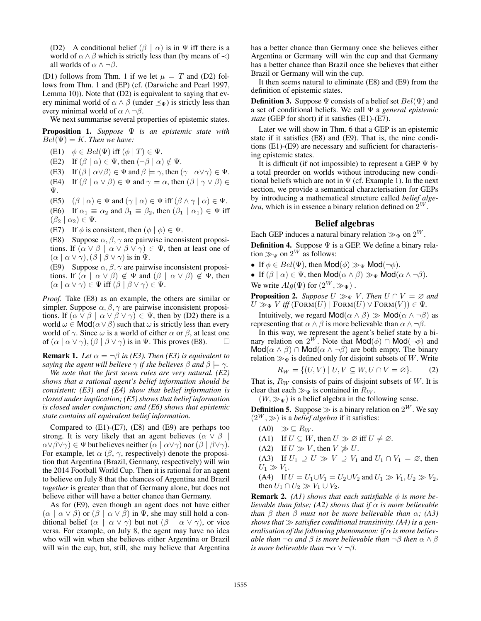(D2) A conditional belief  $(\beta | \alpha)$  is in  $\Psi$  iff there is a world of  $\alpha \wedge \beta$  which is strictly less than (by means of  $\prec$ ) all worlds of  $\alpha \wedge \neg \beta$ .

(D1) follows from Thm. 1 if we let  $\mu = T$  and (D2) follows from Thm. 1 and (EP) (cf. (Darwiche and Pearl 1997, Lemma 10)). Note that (D2) is equivalent to saying that every minimal world of  $\alpha \wedge \beta$  (under  $\preceq_{\Psi}$ ) is strictly less than every minimal world of  $\alpha \wedge \neg \beta$ .

We next summarise several properties of epistemic states.

Proposition 1. *Suppose* Ψ *is an epistemic state with*  $Bel(\Psi) = K$ . Then we have:

(E1)  $\phi \in Bel(\Psi)$  iff  $(\phi | T) \in \Psi$ .

(E2) If  $(\beta | \alpha) \in \Psi$ , then  $(\neg \beta | \alpha) \notin \Psi$ .

- (E3) If  $(\beta | \alpha \vee \beta) \in \Psi$  and  $\beta \models \gamma$ , then  $(\gamma | \alpha \vee \gamma) \in \Psi$ .
- (E4) If  $(\beta | \alpha \vee \beta) \in \Psi$  and  $\gamma \models \alpha$ , then  $(\beta | \gamma \vee \beta) \in \Psi$ Ψ.
- (E5)  $(\beta | \alpha) \in \Psi$  and  $(\gamma | \alpha) \in \Psi$  iff  $(\beta \wedge \gamma | \alpha) \in \Psi$ .

(E6) If  $\alpha_1 \equiv \alpha_2$  and  $\beta_1 \equiv \beta_2$ , then  $(\beta_1 | \alpha_1) \in \Psi$  iff  $(\beta_2 | \alpha_2) \in \Psi$ .

(E7) If  $\phi$  is consistent, then  $(\phi | \phi) \in \Psi$ .

(E8) Suppose  $\alpha$ ,  $\beta$ ,  $\gamma$  are pairwise inconsistent propositions. If  $(\alpha \vee \beta \mid \alpha \vee \beta \vee \gamma) \in \Psi$ , then at least one of  $(\alpha \mid \alpha \vee \gamma), (\beta \mid \beta \vee \gamma)$  is in  $\Psi$ .

(E9) Suppose  $\alpha, \beta, \gamma$  are pairwise inconsistent propositions. If  $(\alpha | \alpha \vee \beta) \notin \Psi$  and  $(\beta | \alpha \vee \beta) \notin \Psi$ , then  $(\alpha \mid \alpha \vee \gamma) \in \Psi$  iff  $(\beta \mid \beta \vee \gamma) \in \Psi$ .

*Proof.* Take (E8) as an example, the others are similar or simpler. Suppose  $\alpha$ ,  $\beta$ ,  $\gamma$  are pairwise inconsistent propositions. If  $(\alpha \vee \beta \mid \alpha \vee \beta \vee \gamma) \in \Psi$ , then by (D2) there is a world  $\omega \in Mod(\alpha \vee \beta)$  such that  $\omega$  is strictly less than every world of  $\gamma$ . Since  $\omega$  is a world of either  $\alpha$  or  $\beta$ , at least one of  $(\alpha \mid \alpha \vee \gamma)$ ,  $(\beta \mid \beta \vee \gamma)$  is in  $\Psi$ . This proves (E8).  $\Box$ 

**Remark 1.** *Let*  $\alpha = \neg \beta$  *in (E3). Then (E3) is equivalent to saying the agent will believe*  $\gamma$  *if she believes*  $\beta$  *and*  $\beta \models \gamma$ *.* 

*We note that the first seven rules are very natural. (E2) shows that a rational agent's belief information should be consistent; (E3) and (E4) show that belief information is closed under implication; (E5) shows that belief information is closed under conjunction; and (E6) shows that epistemic state contains all equivalent belief information.*

Compared to  $(E1)-(E7)$ ,  $(E8)$  and  $(E9)$  are perhaps too strong. It is very likely that an agent believes ( $\alpha \vee \beta$ )  $\alpha \vee \beta \vee \gamma$ )  $\in \Psi$  but believes neither  $(\alpha \mid \alpha \vee \gamma)$  nor  $(\beta \mid \beta \vee \gamma)$ . For example, let  $\alpha$  ( $\beta$ ,  $\gamma$ , respectively) denote the proposition that Argentina (Brazil, Germany, respectively) will win the 2014 Football World Cup. Then it is rational for an agent to believe on July 8 that the chances of Argentina and Brazil *together* is greater than that of Germany alone, but does not believe either will have a better chance than Germany.

As for (E9), even though an agent does not have either  $(\alpha \mid \alpha \vee \beta)$  or  $(\beta \mid \alpha \vee \beta)$  in  $\Psi$ , she may still hold a conditional belief  $(\alpha \mid \alpha \vee \gamma)$  but not  $(\beta \mid \alpha \vee \gamma)$ , or vice versa. For example, on July 8, the agent may have no idea who will win when she believes either Argentina or Brazil will win the cup, but, still, she may believe that Argentina

has a better chance than Germany once she believes either Argentina or Germany will win the cup and that Germany has a better chance than Brazil once she believes that either Brazil or Germany will win the cup.

It then seems natural to eliminate (E8) and (E9) from the definition of epistemic states.

**Definition 3.** Suppose  $\Psi$  consists of a belief set  $Bel(\Psi)$  and a set of conditional beliefs. We call Ψ a *general epistemic state* (GEP for short) if it satisfies (E1)-(E7).

Later we will show in Thm. 6 that a GEP is an epistemic state if it satisfies (E8) and (E9). That is, the nine conditions (E1)-(E9) are necessary and sufficient for characterising epistemic states.

It is difficult (if not impossible) to represent a GEP  $\Psi$  by a total preorder on worlds without introducing new conditional beliefs which are not in  $\Psi$  (cf. Example 1). In the next section, we provide a semantical characterisation for GEPs by introducing a mathematical structure called *belief algebra*, which is in essence a binary relation defined on  $2^W$ .

## Belief algebras

Each GEP induces a natural binary relation  $\gg_{\Psi}$  on  $2^W$ .

**Definition 4.** Suppose  $\Psi$  is a GEP. We define a binary relation  $\gg_{\Psi}$  on  $2^W$  as follows:

• If  $\phi \in Bel(\Psi)$ , then  $Mod(\phi) \gg_{\Psi} Mod(\neg \phi)$ .

• If  $(\beta | \alpha) \in \Psi$ , then  $Mod(\alpha \wedge \beta) \gg_{\Psi} Mod(\alpha \wedge \neg \beta)$ . We write  $Alg(\Psi)$  for  $(2^W, \gg_{\Psi})$ .

**Proposition 2.** *Suppose*  $U \gg_{\Psi} V$ *. Then*  $U \cap V = \emptyset$  *and*  $U \gg_{\Psi} V$  *iff*  $(FORM(U) | FORM(U) \vee FORM(V)) \in \Psi$ .

Intuitively, we regard  $Mod(\alpha \wedge \beta) \gg Mod(\alpha \wedge \neg \beta)$  as representing that  $\alpha \wedge \beta$  is more believable than  $\alpha \wedge \neg \beta$ .

In this way, we represent the agent's belief state by a binary relation on  $2^{W}$ . Note that  $Mod(\phi) \cap Mod(\neg \phi)$  and  $Mod(\alpha \wedge \beta) \cap Mod(\alpha \wedge \neg \beta)$  are both empty. The binary relation  $\gg_{\Psi}$  is defined only for disjoint subsets of W. Write

$$
R_W = \{ (U, V) \mid U, V \subseteq W, U \cap V = \varnothing \}. \tag{2}
$$

That is,  $R_W$  consists of pairs of disjoint subsets of W. It is clear that each  $\gg_{\Psi}$  is contained in  $R_W$ .

 $(W, \gg_{\Psi})$  is a belief algebra in the following sense.

**Definition 5.** Suppose  $\gg$  is a binary relation on  $2^W$ . We say  $(2^W, \gg)$  is a *belief algebra* if it satisfies:

- $(A0) \geqslant \subseteq R_W$ .
- (A1) If  $U \subseteq W$ , then  $U \gg \emptyset$  iff  $U \neq \emptyset$ .
- (A2) If  $U \gg V$ , then  $V \not\gg U$ .
- (A3) If  $U_1 \supseteq U \gg V \supseteq V_1$  and  $U_1 \cap V_1 = \emptyset$ , then  $U_1 \gg V_1$ .

(A4) If  $U = U_1 \cup V_1 = U_2 \cup V_2$  and  $U_1 \gg V_1, U_2 \gg V_2$ , then  $U_1 \cap U_2 \gg V_1 \cup V_2$ .

**Remark 2.** *(A1) shows that each satisfiable*  $\phi$  *is more believable than false;* (A2) *shows that if*  $\alpha$  *is more believable than* β *then* β *must not be more believable than* α*; (A3) shows that satisfies conditional transitivity. (A4) is a generalisation of the following phenomenon: if* α *is more believable than*  $\neg \alpha$  *and*  $\beta$  *is more believable than*  $\neg \beta$  *then*  $\alpha \wedge \beta$ *is more believable than*  $\neg \alpha \lor \neg \beta$ *.*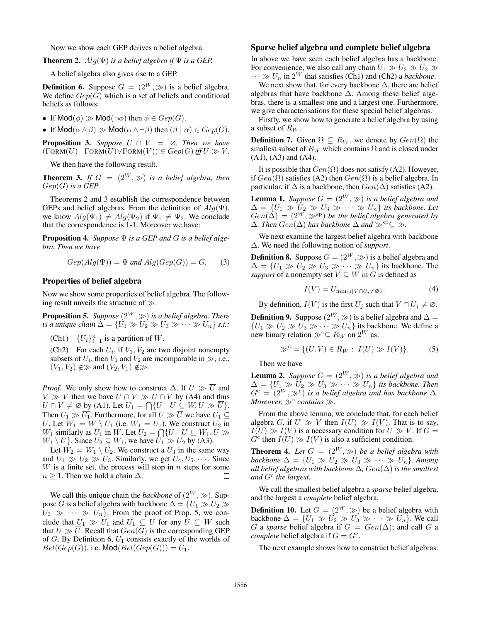Now we show each GEP derives a belief algebra.

**Theorem 2.**  $Alg(\Psi)$  *is a belief algebra if*  $\Psi$  *is a GEP.* 

A belief algebra also gives rise to a GEP.

**Definition 6.** Suppose  $G = (2^W, \gg)$  is a belief algebra. We define  $Gep(\overrightarrow{G})$  which is a set of beliefs and conditional beliefs as follows:

• If  $Mod(\phi) \gg Mod(\neg \phi)$  then  $\phi \in Gep(G)$ .

• If  $Mod(\alpha \wedge \beta) \gg Mod(\alpha \wedge \neg \beta)$  then  $(\beta \mid \alpha) \in Gep(G)$ .

**Proposition 3.** *Suppose*  $U \cap V = \emptyset$ *. Then we have*  $(\text{FORM}(U) | \text{FORM}(U) \lor \text{FORM}(V)) \in \text{Gep}(G) \text{ iff } U \gg V.$ 

We then have the following result.

**Theorem 3.** *If*  $G = (2^W, \gg)$  *is a belief algebra, then* Gep(G) *is a GEP.*

Theorems 2 and 3 establish the correspondence between GEPs and belief algebras. From the definition of  $Alq(\Psi)$ , we know  $Alg(\Psi_1) \neq Alg(\Psi_2)$  if  $\Psi_1 \neq \Psi_2$ . We conclude that the correspondence is 1-1. Moreover we have:

Proposition 4. *Suppose* Ψ *is a GEP and* G *is a belief algebra. Then we have*

$$
Gep(Alg(\Psi)) = \Psi \text{ and } Alg(Gep(G)) = G. \tag{3}
$$

## Properties of belief algebra

Now we show some properties of belief algebra. The following result unveils the structure of  $\gg$ .

**Proposition 5.** *Suppose*  $(2^W, \gg)$  *is a belief algebra. There is a unique chain*  $\Delta = \{U_1 \gg U_2 \gg U_3 \gg \cdots \gg U_n\}$  *s.t.:* 

(Ch1)  $\{U_i\}_{i=1}^n$  is a partition of W.

(Ch2) For each  $U_i$ , if  $V_1, V_2$  are two disjoint nonempty subsets of  $U_i$ , then  $V_1$  and  $V_2$  are incomparable in  $\gg$ , i.e.,  $(V_1, V_2) \notin \gg$  and  $(V_2, V_1) \notin \gg$ .

*Proof.* We only show how to construct  $\Delta$ . If  $U \gg \overline{U}$  and  $V \gg \overline{V}$  then we have  $U \cap V \gg \overline{U \cap V}$  by (A4) and thus  $U \cap V \neq \emptyset$  by (A1). Let  $U_1 = \bigcap \{U \mid U \subseteq W, U \gg \overline{U}\}.$ Then  $U_1 \gg \overline{U_1}$ . Furthermore, for all  $U \gg \overline{U}$  we have  $U_1 \subseteq$ U. Let  $W_1 = W \setminus U_1$  (i.e.  $W_1 = \overline{U_1}$ ). We construct  $U_2$  in  $W_1$  similarly as  $U_1$  in W. Let  $U_2 = \bigcap \{U \mid U \subseteq W_1, U \gg \}$  $W_1 \setminus U$ . Since  $U_2 \subseteq W_1$ , we have  $U_1 \gg U_2$  by (A3).

Let  $W_2 = W_1 \setminus U_2$ . We construct a  $U_3$  in the same way and  $U_1 \gg U_2 \gg U_3$ . Similarly, we get  $U_4, U_5, \cdots$ . Since W is a finite set, the process will stop in  $n$  steps for some  $n \geq 1$ . Then we hold a chain  $\Delta$ . П

We call this unique chain the *backbone* of  $(2^W, \gg)$ . Suppose  $G$  is a belief algebra with backbone  $\Delta = \{U_1 \gg U_2 \gg 1\}$  $U_3 \gg \cdots \gg U_n$ . From the proof of Prop. 5, we conclude that  $U_1 \gg U_1$  and  $U_1 \subseteq U$  for any  $U \subseteq W$  such that  $U \gg \overline{U}$ . Recall that  $Gen(G)$  is the corresponding GEP of G. By Definition 6,  $U_1$  consists exactly of the worlds of  $Bel(Gep(G))$ , i.e. Mod $(Bel(Gep(G))) = U_1$ .

#### Sparse belief algebra and complete belief algebra

In above we have seen each belief algebra has a backbone. For convenience, we also call any chain  $U_1 \gg U_2 \gg U_3 \gg$  $\cdots \gg U_n$  in  $2^W$  that satisfies (Ch1) and (Ch2) a *backbone*.

We next show that, for every backbone  $\Delta$ , there are belief algebras that have backbone  $\Delta$ . Among these belief algebras, there is a smallest one and a largest one. Furthermore, we give characterisations for these special belief algebras.

Firstly, we show how to generate a belief algebra by using a subset of  $R_W$ .

**Definition 7.** Given  $\Omega \subseteq R_W$ , we denote by  $Gen(\Omega)$  the smallest subset of  $R_W$  which contains  $\Omega$  and is closed under (A1), (A3) and (A4).

It is possible that  $Gen(\Omega)$  does not satisfy (A2). However, if  $Gen(\Omega)$  satisfies (A2) then  $Gen(\Omega)$  is a belief algebra. In particular, if  $\Delta$  is a backbone, then  $Gen(\Delta)$  satisfies (A2).

**Lemma 1.** *Suppose*  $G = (2^W, \gg)$  *is a belief algebra and*  $\Delta = \{U_1 \gg U_2 \gg U_3 \gg \cdots \gg U_n\}$  its backbone. Let  $Gen(\tilde{\Delta}) = (2^W, \gg^{\text{sp}})$  be the belief algebra generated by  $\Delta$ *. Then*  $Gen(\Delta)$  *has backbone*  $\Delta$  *and*  $\gg$ <sup>sp</sup>⊆  $\gg$ *.* 

We next examine the largest belief algebra with backbone ∆. We need the following notion of *support*.

**Definition 8.** Suppose  $G = (2^W, \gg)$  is a belief algebra and  $\Delta = \{U_1 \gg U_2 \gg U_3 \gg \cdots \gg U_n\}$  its backbone. The *support* of a nonempty set  $V \subseteq W$  in G is defined as

$$
I(V) = U_{\min\{i|V \cap U_i \neq \varnothing\}}.\tag{4}
$$

By definition,  $I(V)$  is the first  $U_j$  such that  $V \cap U_j \neq \emptyset$ .

**Definition 9.** Suppose  $(2^W, \gg)$  is a belief algebra and  $\Delta =$  ${U_1 \gg U_2 \gg U_3 \gg \cdots \gg U_n}$  its backbone. We define a new binary relation  $\gg^c \subseteq R_W$  on  $2^W$  as:

$$
\gg^c = \{(U, V) \in R_W : I(U) \gg I(V)\}.
$$
 (5)

Then we have

**Lemma 2.** *Suppose*  $G = (2^W, \gg)$  *is a belief algebra and*  $\Delta = \{U_1 \gg U_2 \gg U_3 \gg \cdots \gg U_n\}$  its backbone. Then  $G<sup>c</sup> = (2<sup>W</sup>, \gg<sup>c</sup>)$  *is a belief algebra and has backbone*  $\Delta$ *. Moreover,*  $\gg^c$  *contains*  $\gg$ .

From the above lemma, we conclude that, for each belief algebra G, if  $U \gg V$  then  $I(U) \gg I(V)$ . That is to say,  $I(U) \gg I(V)$  is a necessary condition for  $U \gg V$ . If  $G =$  $G^c$  then  $I(U) \gg I(V)$  is also a sufficient condition.

**Theorem 4.** Let  $G = (2^W, \gg)$  be a belief algebra with  $\mathit{backbone} \ \Delta = \{U_1 \gg U_2 \gg U_3 \gg \cdots \gg U_n\}.$  Among *all belief algebras with backbone*  $\Delta$ *,*  $Gen(\Delta)$  *is the smallest and* G<sup>c</sup> *the largest.*

We call the smallest belief algebra a *sparse* belief algebra, and the largest a *complete* belief algebra.

**Definition 10.** Let  $G = (2^W, \gg)$  be a belief algebra with backbone  $\Delta = \{U_1 \gg U_2 \gg U_3 \gg \cdots \gg U_n\}$ . We call G a *sparse* belief algebra if  $G = Gen(\Delta)$ ; and call G a *complete* belief algebra if  $G = G<sup>c</sup>$ .

The next example shows how to construct belief algebras.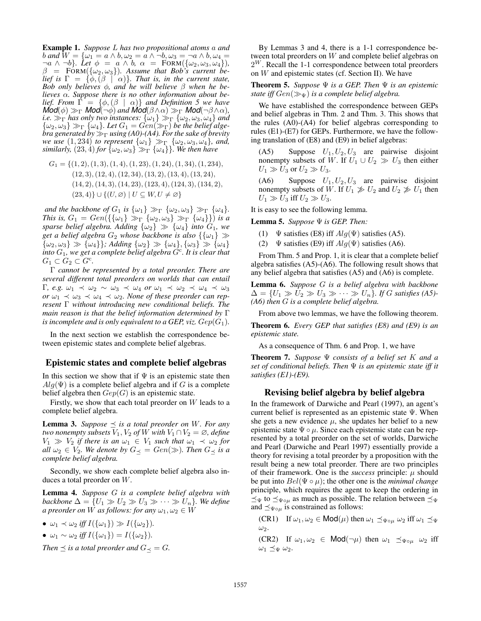Example 1. *Suppose* L *has two propositional atoms* a *and* b and  $W = \{\omega_1 = a \wedge b, \omega_2 = a \wedge \neg b, \omega_3 = \neg a \wedge b, \omega_4 = \emptyset\}$  $\neg a \land \neg b$ *}. Let*  $\phi = a \land b$ ,  $\alpha = \text{FORM}(\{\omega_2, \omega_3, \omega_4\})$ ,  $\beta = \text{F} \overline{\text{ORM}}(\{\omega_2, \omega_3\})$ . Assume that Bob's current be*lief is*  $\Gamma = {\phi, (\beta | \alpha)}$ *. That is, in the current state, Bob only believes* φ*, and he will believe* β *when he believes* α*. Suppose there is no other information about belief.* From  $\Gamma = {\phi, (\beta | \alpha)}$  and Definition 5 we have *Mod*( $\phi$ )  $\gg_{\Gamma}$  *Mod*( $\neg \phi$ ) *and Mod*( $\beta \land \alpha$ )  $\gg_{\Gamma}$  *Mod*( $\neg \beta \land \alpha$ )*, i.e.*  $\gg_{\Gamma}$  has only two instances:  $\{\omega_1\} \gg_{\Gamma} \{\omega_2, \omega_3, \omega_4\}$  and  $\{\omega_2,\omega_3\}\gg_\Gamma \{\omega_4\}$ *. Let*  $G_1 = Gen(\gg_\Gamma)$  *be the belief algebra generated by*  $\gg_\Gamma$  *using (A0)-(A4). For the sake of brevity we use*  $(1, 234)$  *to represent*  $\{\omega_1\} \gg_{\Gamma} \{\omega_2, \omega_3, \omega_4\}$ *, and, similarly,*  $(23, 4)$  *for*  $\{\omega_2, \omega_3\} \gg_\Gamma \{\omega_4\}$ *. We then have* 

 $G_1 = \{(1, 2), (1, 3), (1, 4), (1, 23), (1, 24), (1, 34), (1, 234),$  $(12, 3), (12, 4), (12, 34), (13, 2), (13, 4), (13, 24),$  $(14, 2), (14, 3), (14, 23), (123, 4), (124, 3), (134, 2),$  $(23, 4)$ } ∪  $\{(U, \emptyset) \mid U \subseteq W, U \neq \emptyset\}$ 

*and the backbone of*  $G_1$  *is*  $\{\omega_1\} \gg_{\Gamma} \{\omega_2, \omega_3\} \gg_{\Gamma} \{\omega_4\}.$ *This is,*  $G_1 = Gen(\{\{\omega_1\} \gg_{\Gamma} \{\omega_2, \omega_3\} \gg_{\Gamma} \{\omega_4\}\})$  *is a sparse belief algebra. Adding*  $\{\omega_2\} \gg \{\omega_4\}$  *into*  $G_1$ *, we get a belief algebra*  $G_2$  *whose backbone is also*  $\{\{\omega_1\} \gg$  ${\{\omega_2,\omega_3\}} \gg {\{\omega_4\}};$  Adding  ${\{\omega_2\}} \gg {\{\omega_4\}};$   ${\{\omega_3\}} \gg {\{\omega_4\}}$ *into* G1*, we get a complete belief algebra* G<sup>c</sup> *. It is clear that*  $G_1 \subset G_2 \subset G^c$ .

Γ *cannot be represented by a total preorder. There are several different total preorders on worlds that can entail* Γ*, e.g.*  $ω_1$   $\prec$   $ω_2$   $\sim$   $ω_3$   $\prec$   $ω_4$  *or*  $ω_1$   $\prec$   $ω_2$   $\prec$   $ω_4$   $\prec$   $ω_3$ *or*  $\omega_1 \prec \omega_3 \prec \omega_4 \prec \omega_2$ . None of these preorder can rep*resent* Γ *without introducing new conditional beliefs. The main reason is that the belief information determined by* Γ *is incomplete and is only equivalent to a GEP, viz.*  $Gep(G_1)$ *.* 

In the next section we establish the correspondence between epistemic states and complete belief algebras.

## Epistemic states and complete belief algebras

In this section we show that if  $\Psi$  is an epistemic state then  $Alg(\Psi)$  is a complete belief algebra and if G is a complete belief algebra then  $Gep(G)$  is an epistemic state.

Firstly, we show that each total preorder on  $W$  leads to a complete belief algebra.

**Lemma 3.** *Suppose*  $\prec$  *is a total preorder on W. For any two nonempty subsets*  $V_1$ ,  $V_2$  *of* W *with*  $V_1 \cap V_2 = \emptyset$ , *define*  $V_1 \gg V_2$  *if there is an*  $\omega_1 \in V_1$  *such that*  $\omega_1 \prec \omega_2$  *for all*  $\omega_2 \in V_2$ *. We denote by*  $G_{\prec} = Gen(\gg)$ *. Then*  $G_{\prec}$  *is a complete belief algebra.*

Secondly, we show each complete belief algebra also induces a total preorder on W.

Lemma 4. *Suppose* G *is a complete belief algebra with backbone*  $\Delta = \{U_1 \gg U_2 \gg U_3 \gg \cdots \gg U_n\}$ *. We define a preorder on* W *as follows: for any*  $\omega_1, \omega_2 \in W$ 

- $\omega_1 \prec \omega_2$  *iff*  $I(\{\omega_1\}) \gg I(\{\omega_2\}).$
- $\omega_1 \sim \omega_2$  *iff*  $I(\{\omega_1\}) = I(\{\omega_2\}).$

*Then*  $\preceq$  *is a total preorder and*  $G_{\preceq} = G$ *.* 

By Lemmas 3 and 4, there is a 1-1 correspondence between total preorders on W and complete belief algebras on  $2^W$ . Recall the 1-1 correspondence between total preorders on  $W$  and epistemic states (cf. Section II). We have

Theorem 5. *Suppose* Ψ *is a GEP. Then* Ψ *is an epistemic state iff*  $Gen(\gg_{\Psi})$  *is a complete belief algebra.* 

We have established the correspondence between GEPs and belief algebras in Thm. 2 and Thm. 3. This shows that the rules (A0)-(A4) for belief algebras corresponding to rules (E1)-(E7) for GEPs. Furthermore, we have the following translation of (E8) and (E9) in belief algebras:

(A5) Suppose  $U_1, U_2, U_3$  are pairwise disjoint nonempty subsets of W. If  $U_1 \cup U_2 \geq U_3$  then either  $U_1 \gg U_3$  or  $U_2 \gg U_3$ .

(A6) Suppose  $U_1, U_2, U_3$  are pairwise disjoint nonempty subsets of W. If  $U_1 \not\gg U_2$  and  $U_2 \not\gg U_1$  then  $U_1 \gg U_3$  iff  $U_2 \gg U_3$ .

It is easy to see the following lemma.

Lemma 5. *Suppose* Ψ *is GEP. Then:*

- (1)  $\Psi$  satisfies (E8) iff  $Alg(\Psi)$  satisfies (A5).
- (2)  $\Psi$  satisfies (E9) iff  $Alg(\Psi)$  satisfies (A6).

From Thm. 5 and Prop. 1, it is clear that a complete belief algebra satisfies (A5)-(A6). The following result shows that any belief algebra that satisfies (A5) and (A6) is complete.

Lemma 6. *Suppose* G *is a belief algebra with backbone*  $\Delta = \{U_1 \gg U_2 \gg U_3 \gg \cdots \gg U_n\}$ . If G satisfies (A5)-*(A6) then* G *is a complete belief algebra.*

From above two lemmas, we have the following theorem.

Theorem 6. *Every GEP that satisfies (E8) and (E9) is an epistemic state.*

As a consequence of Thm. 6 and Prop. 1, we have

Theorem 7. *Suppose* Ψ *consists of a belief set* K *and a set of conditional beliefs. Then* Ψ *is an epistemic state iff it satisfies (E1)-(E9).*

## Revising belief algebra by belief algebra

In the framework of Darwiche and Pearl (1997), an agent's current belief is represented as an epistemic state Ψ. When she gets a new evidence  $\mu$ , she updates her belief to a new epistemic state  $\Psi \circ \mu$ . Since each epistemic state can be represented by a total preorder on the set of worlds, Darwiche and Pearl (Darwiche and Pearl 1997) essentially provide a theory for revising a total preorder by a proposition with the result being a new total preorder. There are two principles of their framework. One is the *success* principle:  $\mu$  should be put into  $Bel(\Psi \circ \mu)$ ; the other one is the *minimal change* principle, which requires the agent to keep the ordering in  $\preceq_{\Psi}$  to  $\preceq_{\Psi \circ \mu}$  as much as possible. The relation between  $\preceq_{\Psi}$ and  $\preceq_{\Psi \circ \mu}$  is constrained as follows:

(CR1) If  $\omega_1, \omega_2 \in \text{Mod}(\mu)$  then  $\omega_1 \preceq_{\Psi \circ \mu} \omega_2$  iff  $\omega_1 \preceq_{\Psi} \omega_2$  $\omega_2$ .

(CR2) If  $\omega_1, \omega_2 \in \text{Mod}(\neg \mu)$  then  $\omega_1 \preceq_{\Psi \circ \mu} \omega_2$  iff  $\omega_1 \preceq_\Psi \omega_2$ .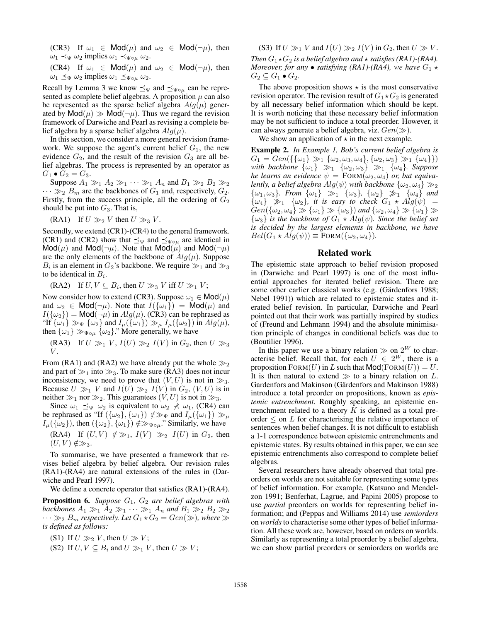(CR3) If  $\omega_1 \in \text{Mod}(\mu)$  and  $\omega_2 \in \text{Mod}(\neg \mu)$ , then  $\omega_1 \prec_{\Psi} \omega_2$  implies  $\omega_1 \prec_{\Psi \circ \mu} \omega_2$ .

(CR4) If  $\omega_1 \in \text{Mod}(\mu)$  and  $\omega_2 \in \text{Mod}(\neg \mu)$ , then  $\omega_1 \preceq_{\Psi} \omega_2$  implies  $\omega_1 \preceq_{\Psi \circ \mu} \omega_2$ .

Recall by Lemma 3 we know  $\preceq_{\Psi}$  and  $\preceq_{\Psi \circ \mu}$  can be represented as complete belief algebras. A proposition  $\mu$  can also be represented as the sparse belief algebra  $Alq(\mu)$  generated by  $Mod(\mu) \gg Mod(\neg \mu)$ . Thus we regard the revision framework of Darwiche and Pearl as revising a complete belief algebra by a sparse belief algebra  $Alg(\mu)$ .

In this section, we consider a more general revision framework. We suppose the agent's current belief  $G_1$ , the new evidence  $G_2$ , and the result of the revision  $G_3$  are all belief algebras. The process is represented by an operator as  $G_1 \bullet G_2 = G_3.$ 

Suppose  $A_1 \gg_1 A_2 \gg_1 \cdots \gg_1 A_n$  and  $B_1 \gg_2 B_2 \gg_2$  $\cdots \gg_2 B_m$  are the backbones of  $G_1$  and, respectively,  $G_2$ . Firstly, from the success principle, all the ordering of  $G_2$ should be put into  $G_3$ . That is,

(RA1) If 
$$
U \gg_2 V
$$
 then  $U \gg_3 V$ .

Secondly, we extend (CR1)-(CR4) to the general framework. (CR1) and (CR2) show that  $\preceq_{\Psi}$  and  $\preceq_{\Psi \circ \mu}$  are identical in  $Mod(\mu)$  and  $Mod(\neg \mu)$ . Note that  $Mod(\mu)$  and  $Mod(\neg \mu)$ are the only elements of the backbone of  $Alg(\mu)$ . Suppose  $B_i$  is an element in  $G_2$ 's backbone. We require  $\gg_1$  and  $\gg_3$ to be identical in  $B_i$ .

(RA2) If  $U, V \subseteq B_i$ , then  $U \gg_3 V$  iff  $U \gg_1 V$ ;

Now consider how to extend (CR3). Suppose  $\omega_1 \in Mod(\mu)$ and  $\omega_2 \in \text{Mod}(\neg \mu)$ . Note that  $I(\{\omega_1\}) = \text{Mod}(\mu)$  and  $I(\{\omega_2\}) = \text{Mod}(\neg \mu)$  in  $Alg(\mu)$ . (CR3) can be rephrased as "If  $\{\omega_1\} \gg_{\Psi} \{\omega_2\}$  and  $I_{\mu}(\{\omega_1\}) \gg_{\mu} I_{\mu}(\{\omega_2\})$  in  $Alg(\mu)$ , then  $\{\omega_1\} \gg_{\Psi \circ \mu} \{\omega_2\}$ ." More generally, we have

(RA3) If  $U \gg_1 V$ ,  $I(U) \gg_2 I(V)$  in  $G_2$ , then  $U \gg_3$  $V$ .

From (RA1) and (RA2) we have already put the whole  $\gg_2$ and part of  $\gg_1$  into  $\gg_3$ . To make sure (RA3) does not incur inconsistency, we need to prove that  $(V, U)$  is not in  $\gg_3$ . Because  $U \gg_1 V$  and  $I(U) \gg_2 I(V)$  in  $G_2$ ,  $(V, U)$  is in neither  $\gg_1$  nor  $\gg_2$ . This guarantees  $(V, U)$  is not in  $\gg_3$ .

Since  $\omega_1 \preceq_{\Psi} \omega_2$  is equivalent to  $\omega_2 \nless \omega_1$ , (CR4) can be rephrased as "If  $(\{\omega_2\}, \{\omega_1\}) \notin \gg_{\Psi}$  and  $I_{\mu}(\{\omega_1\}) \gg_{\mu}$  $I_{\mu}(\{\omega_2\})$ , then  $(\{\omega_2\}, \{\omega_1\}) \notin \gg_{\Psi \circ \mu}$ ." Similarly, we have

(RA4) If  $(U, V) \notin \gg_1$ ,  $I(V) \gg_2 I(U)$  in  $G_2$ , then  $(U, V) \notin \gg_3$ .

To summarise, we have presented a framework that revises belief algebra by belief algebra. Our revision rules (RA1)-(RA4) are natural extensions of the rules in (Darwiche and Pearl 1997).

We define a concrete operator that satisfies (RA1)-(RA4).

**Proposition 6.** Suppose  $G_1$ ,  $G_2$  are belief algebras with *backbones*  $A_1 \gg_1 A_2 \gg_1 \cdots \gg_1 A_n$  *and*  $B_1 \gg_2 B_2 \gg_2$  $\cdots \gg_2 B_m$  *respectively. Let*  $G_1 \star G_2 = Gen(\gg)$ *, where*  $\gg$ *is defined as follows:*

- (S1) If  $U \gg_2 V$ , then  $U \gg V$ ;
- (S2) If  $U, V \subseteq B_i$  and  $U \gg_1 V$ , then  $U \gg V$ ;

(S3) If  $U \gg_1 V$  and  $I(U) \gg_2 I(V)$  in  $G_2$ , then  $U \gg V$ . *Then*  $G_1 \star G_2$  *is a belief algebra and*  $\star$  *satisfies (RA1)-(RA4). Moreover, for any* • *satisfying (RA1)-(RA4), we have*  $G_1$   $\star$  $G_2 \subseteq G_1 \bullet G_2$ .

The above proposition shows  $\star$  is the most conservative revision operator. The revision result of  $G_1 \star G_2$  is generated by all necessary belief information which should be kept. It is worth noticing that these necessary belief information may be not sufficient to induce a total preorder. However, it can always generate a belief algebra, viz.  $Gen(\gg)$ .

We show an application of  $\star$  in the next example.

Example 2. *In Example 1, Bob's current belief algebra is*  $G_1 = Gen(\{\{\omega_1\} \gg_1 \{\omega_2, \omega_3, \omega_4\}, \{\omega_2, \omega_3\} \gg_1 \{\omega_4\}\})$ *with backbone*  $\{\omega_1\} \gg_1 \{\omega_2, \omega_3\} \gg_1 \{\omega_4\}$ *. Suppose he learns an evidence*  $\psi = \text{FORM}(\omega_2, \omega_4)$  *or, but equivalently, a belief algebra*  $Alg(\psi)$  *with backbone*  $\{\omega_2, \omega_4\} \gg_2$  $\{\omega_1, \omega_3\}$ *. From*  $\{\omega_1\} \gg_1 \{\omega_3\}$ ,  $\{\omega_2\} \gg_1 \{\omega_4\}$  and  $\{\omega_4\}$   $\gg_1$   $\{\omega_2\}$ , it is easy to check  $G_1 \star Alg(\psi) =$  $Gen(\{\omega_2,\omega_4\}\gg\{\omega_1\}\gg\{\omega_3\})$  and  $\{\omega_2,\omega_4\}\gg\{\omega_1\}\gg$  $\{\omega_3\}$  *is the backbone of*  $G_1 \star Alg(\psi)$ *. Since the belief set is decided by the largest elements in backbone, we have*  $Bel(G_1 \star Alg(\psi)) \equiv FORM(\{\omega_2, \omega_4\}).$ 

## Related work

The epistemic state approach to belief revision proposed in (Darwiche and Pearl 1997) is one of the most influential approaches for iterated belief revision. There are some other earlier classical works (e.g. (Gärdenfors 1988; Nebel 1991)) which are related to epistemic states and iterated belief revision. In particular, Darwiche and Pearl pointed out that their work was partially inspired by studies of (Freund and Lehmann 1994) and the absolute minimisation principle of changes in conditional beliefs was due to (Boutilier 1996).

In this paper we use a binary relation  $\gg$  on  $2^W$  to characterise belief. Recall that, for each  $U \in 2^W$ , there is a proposition  $FORM(U)$  in L such that  $Mod(FORM(U)) = U$ . It is then natural to extend  $\gg$  to a binary relation on L. Gardenfors and Makinson (Gärdenfors and Makinson 1988) introduce a total preorder on propositions, known as *epistemic entrenchment*. Roughly speaking, an epistemic entrenchment related to a theory  $K$  is defined as a total preorder  $\leq$  on L for characterising the relative importance of sentences when belief changes. It is not difficult to establish a 1-1 correspondence between epistemic entrenchments and epistemic states. By results obtained in this paper, we can see epistemic entrenchments also correspond to complete belief algebras.

Several researchers have already observed that total preorders on worlds are not suitable for representing some types of belief information. For example, (Katsuno and Mendelzon 1991; Benferhat, Lagrue, and Papini 2005) propose to use *partial* preorders on worlds for representing belief information; and (Peppas and Williams 2014) use *semiorders* on *worlds* to characterise some other types of belief information. All these work are, however, based on orders on worlds. Similarly as representing a total preorder by a belief algebra, we can show partial preorders or semiorders on worlds are